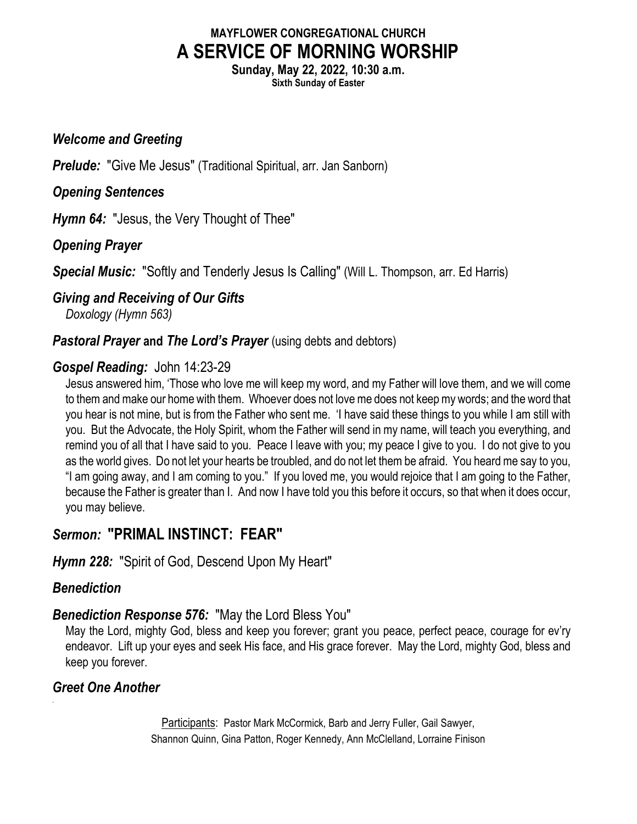## MAYFLOWER CONGREGATIONAL CHURCH A SERVICE OF MORNING WORSHIP

Sunday, May 22, 2022, 10:30 a.m.

Sixth Sunday of Easter

#### Welcome and Greeting

**Prelude:** "Give Me Jesus" (Traditional Spiritual, arr. Jan Sanborn)

## Opening Sentences

Hymn 64: "Jesus, the Very Thought of Thee"

# Opening Prayer

Special Music: "Softly and Tenderly Jesus Is Calling" (Will L. Thompson, arr. Ed Harris)

Giving and Receiving of Our Gifts

Doxology (Hymn 563)

### **Pastoral Prayer and The Lord's Prayer** (using debts and debtors)

## Gospel Reading: John 14:23-29

Jesus answered him, 'Those who love me will keep my word, and my Father will love them, and we will come to them and make our home with them. Whoever does not love me does not keep my words; and the word that you hear is not mine, but is from the Father who sent me. 'I have said these things to you while I am still with you. But the Advocate, the Holy Spirit, whom the Father will send in my name, will teach you everything, and remind you of all that I have said to you. Peace I leave with you; my peace I give to you. I do not give to you as the world gives. Do not let your hearts be troubled, and do not let them be afraid. You heard me say to you, "I am going away, and I am coming to you." If you loved me, you would rejoice that I am going to the Father, because the Father is greater than I. And now I have told you this before it occurs, so that when it does occur, you may believe.

# Sermon: "PRIMAL INSTINCT: FEAR"

Hymn 228: "Spirit of God, Descend Upon My Heart"

# **Benediction**

.

### Benediction Response 576: "May the Lord Bless You"

May the Lord, mighty God, bless and keep you forever; grant you peace, perfect peace, courage for ev'ry endeavor. Lift up your eyes and seek His face, and His grace forever. May the Lord, mighty God, bless and keep you forever.

### Greet One Another

Participants: Pastor Mark McCormick, Barb and Jerry Fuller, Gail Sawyer, Shannon Quinn, Gina Patton, Roger Kennedy, Ann McClelland, Lorraine Finison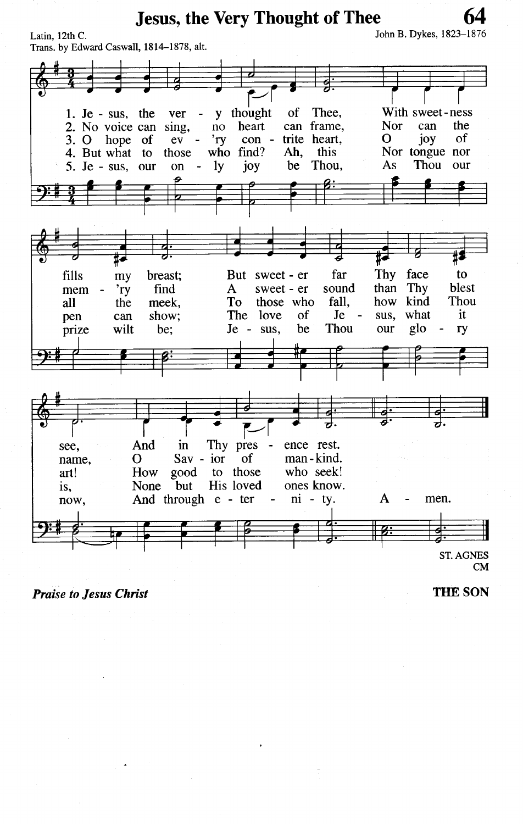**Jesus, the Very Thought of Thee** 

John B. Dykes, 1823-1876



**Praise to Jesus Christ** 

**THE SON**